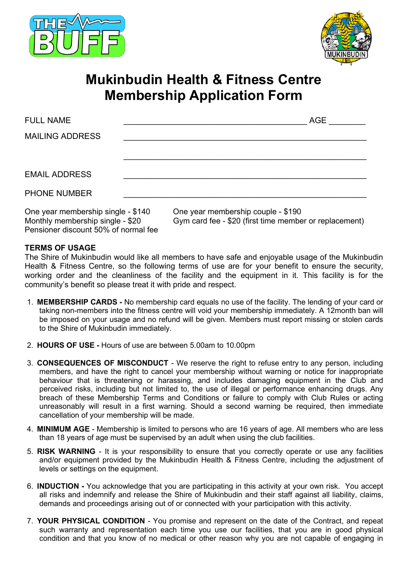



## **Mukinbudin Health & Fitness Centre Membership Application Form**

| <b>FULL NAME</b>                                                       | <b>AGE</b>                                                                                   |
|------------------------------------------------------------------------|----------------------------------------------------------------------------------------------|
| <b>MAILING ADDRESS</b>                                                 |                                                                                              |
|                                                                        |                                                                                              |
| <b>EMAIL ADDRESS</b>                                                   |                                                                                              |
| <b>PHONE NUMBER</b>                                                    |                                                                                              |
| One year membership single - \$140<br>Monthly membership single - \$20 | One year membership couple - \$190<br>Gym card fee - \$20 (first time member or replacement) |

## **TERMS OF USAGE**

Pensioner discount 50% of normal fee

The Shire of Mukinbudin would like all members to have safe and enjoyable usage of the Mukinbudin Health & Fitness Centre, so the following terms of use are for your benefit to ensure the security, working order and the cleanliness of the facility and the equipment in it. This facility is for the community's benefit so please treat it with pride and respect.

- 1. **MEMBERSHIP CARDS** No membership card equals no use of the facility. The lending of your card or taking non-members into the fitness centre will void your membership immediately. A 12month ban will be imposed on your usage and no refund will be given. Members must report missing or stolen cards to the Shire of Mukinbudin immediately.
- 2. **HOURS OF USE** Hours of use are between 5.00am to 10.00pm
- 3. **CONSEQUENCES OF MISCONDUCT** We reserve the right to refuse entry to any person, including members, and have the right to cancel your membership without warning or notice for inappropriate behaviour that is threatening or harassing, and includes damaging equipment in the Club and perceived risks, including but not limited to, the use of illegal or performance enhancing drugs. Any breach of these Membership Terms and Conditions or failure to comply with Club Rules or acting unreasonably will result in a first warning. Should a second warning be required, then immediate cancellation of your membership will be made.
- 4. **MINIMUM AGE** Membership is limited to persons who are 16 years of age. All members who are less than 18 years of age must be supervised by an adult when using the club facilities.
- 5. **RISK WARNING** It is your responsibility to ensure that you correctly operate or use any facilities and/or equipment provided by the Mukinbudin Health & Fitness Centre, including the adjustment of levels or settings on the equipment.
- 6. **INDUCTION** You acknowledge that you are participating in this activity at your own risk. You accept all risks and indemnify and release the Shire of Mukinbudin and their staff against all liability, claims, demands and proceedings arising out of or connected with your participation with this activity.
- 7. **YOUR PHYSICAL CONDITION** You promise and represent on the date of the Contract, and repeat such warranty and representation each time you use our facilities, that you are in good physical condition and that you know of no medical or other reason why you are not capable of engaging in